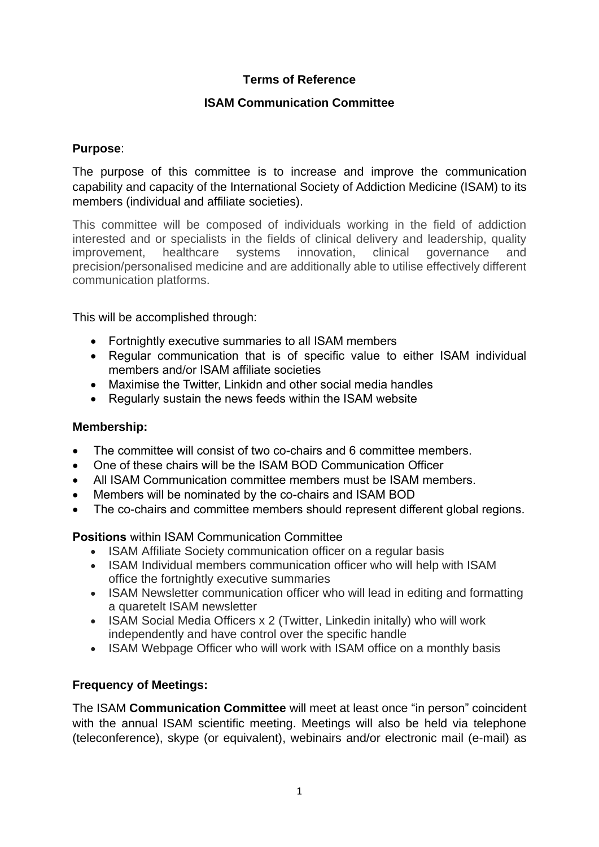# **Terms of Reference**

## **ISAM Communication Committee**

## **Purpose**:

The purpose of this committee is to increase and improve the communication capability and capacity of the International Society of Addiction Medicine (ISAM) to its members (individual and affiliate societies).

This committee will be composed of individuals working in the field of addiction interested and or specialists in the fields of clinical delivery and leadership, quality improvement, healthcare systems innovation, clinical governance and precision/personalised medicine and are additionally able to utilise effectively different communication platforms.

This will be accomplished through:

- Fortnightly executive summaries to all ISAM members
- Regular communication that is of specific value to either ISAM individual members and/or ISAM affiliate societies
- Maximise the Twitter, Linkidn and other social media handles
- Regularly sustain the news feeds within the ISAM website

#### **Membership:**

- The committee will consist of two co-chairs and 6 committee members.
- One of these chairs will be the ISAM BOD Communication Officer
- All ISAM Communication committee members must be ISAM members.
- Members will be nominated by the co-chairs and ISAM BOD
- The co-chairs and committee members should represent different global regions.

**Positions** within ISAM Communication Committee

- ISAM Affiliate Society communication officer on a regular basis
- ISAM Individual members communication officer who will help with ISAM office the fortnightly executive summaries
- ISAM Newsletter communication officer who will lead in editing and formatting a quaretelt ISAM newsletter
- ISAM Social Media Officers x 2 (Twitter, Linkedin initally) who will work independently and have control over the specific handle
- ISAM Webpage Officer who will work with ISAM office on a monthly basis

# **Frequency of Meetings:**

The ISAM **Communication Committee** will meet at least once "in person" coincident with the annual ISAM scientific meeting. Meetings will also be held via telephone (teleconference), skype (or equivalent), webinairs and/or electronic mail (e-mail) as